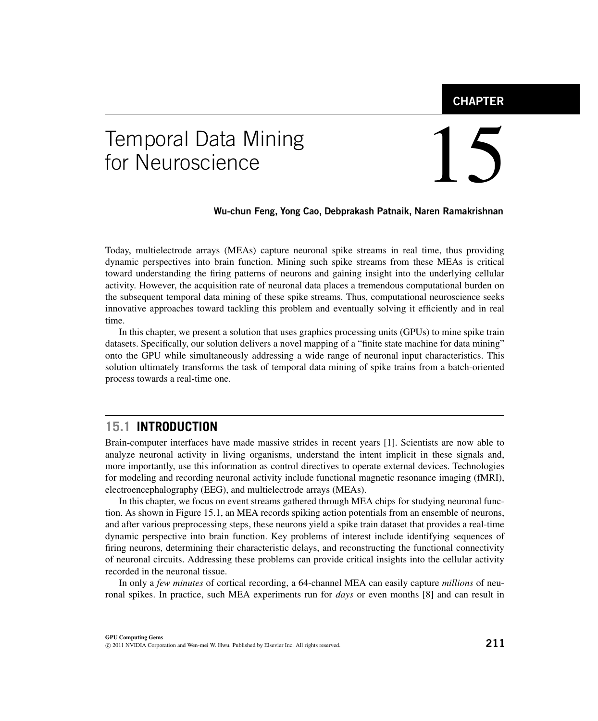# **CHAPTER**

# **Temporal Data Mining** for Neuroscience

#### **Wu-chun Feng, Yong Cao, Debprakash Patnaik, Naren Ramakrishnan**

Today, multielectrode arrays (MEAs) capture neuronal spike streams in real time, thus providing dynamic perspectives into brain function. Mining such spike streams from these MEAs is critical toward understanding the firing patterns of neurons and gaining insight into the underlying cellular activity. However, the acquisition rate of neuronal data places a tremendous computational burden on the subsequent temporal data mining of these spike streams. Thus, computational neuroscience seeks innovative approaches toward tackling this problem and eventually solving it efficiently and in real time.

In this chapter, we present a solution that uses graphics processing units (GPUs) to mine spike train datasets. Specifically, our solution delivers a novel mapping of a "finite state machine for data mining" onto the GPU while simultaneously addressing a wide range of neuronal input characteristics. This solution ultimately transforms the task of temporal data mining of spike trains from a batch-oriented process towards a real-time one.

# **15.1 INTRODUCTION**

Brain-computer interfaces have made massive strides in recent years [1]. Scientists are now able to analyze neuronal activity in living organisms, understand the intent implicit in these signals and, more importantly, use this information as control directives to operate external devices. Technologies for modeling and recording neuronal activity include functional magnetic resonance imaging (fMRI), electroencephalography (EEG), and multielectrode arrays (MEAs).

In this chapter, we focus on event streams gathered through MEA chips for studying neuronal function. As shown in Figure 15.1, an MEA records spiking action potentials from an ensemble of neurons, and after various preprocessing steps, these neurons yield a spike train dataset that provides a real-time dynamic perspective into brain function. Key problems of interest include identifying sequences of firing neurons, determining their characteristic delays, and reconstructing the functional connectivity of neuronal circuits. Addressing these problems can provide critical insights into the cellular activity recorded in the neuronal tissue.

In only a *few minutes* of cortical recording, a 64-channel MEA can easily capture *millions* of neuronal spikes. In practice, such MEA experiments run for *days* or even months [8] and can result in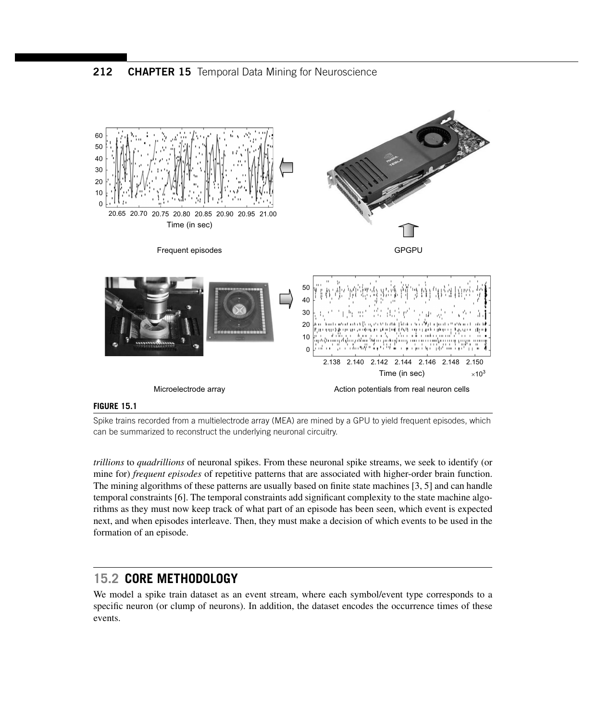

## **FIGURE 15.1**

Spike trains recorded from a multielectrode array (MEA) are mined by a GPU to yield frequent episodes, which can be summarized to reconstruct the underlying neuronal circuitry.

*trillions* to *quadrillions* of neuronal spikes. From these neuronal spike streams, we seek to identify (or mine for) *frequent episodes* of repetitive patterns that are associated with higher-order brain function. The mining algorithms of these patterns are usually based on finite state machines [3, 5] and can handle temporal constraints [6]. The temporal constraints add significant complexity to the state machine algorithms as they must now keep track of what part of an episode has been seen, which event is expected next, and when episodes interleave. Then, they must make a decision of which events to be used in the formation of an episode.

# **15.2 CORE METHODOLOGY**

We model a spike train dataset as an event stream, where each symbol/event type corresponds to a specific neuron (or clump of neurons). In addition, the dataset encodes the occurrence times of these events.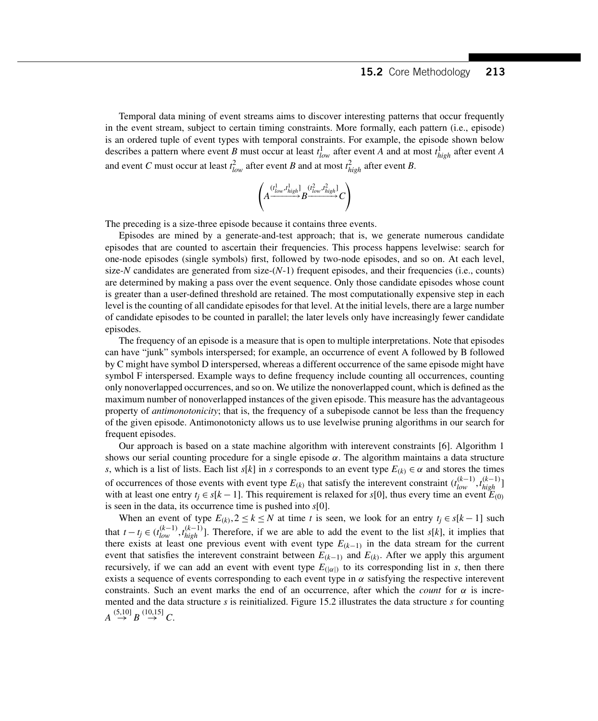Temporal data mining of event streams aims to discover interesting patterns that occur frequently in the event stream, subject to certain timing constraints. More formally, each pattern (i.e., episode) is an ordered tuple of event types with temporal constraints. For example, the episode shown below describes a pattern where event *B* must occur at least  $t_{low}^1$  after event *A* and at most  $t_{high}^1$  after event *A* and event *C* must occur at least  $t_{low}^2$  after event *B* and at most  $t_{high}^2$  after event *B*.

$$
\left(A \xrightarrow{(t^1_{low}, t^1_{high}]} B \xrightarrow{(t^2_{low}, t^2_{high}]} C\right)
$$

The preceding is a size-three episode because it contains three events.

Episodes are mined by a generate-and-test approach; that is, we generate numerous candidate episodes that are counted to ascertain their frequencies. This process happens levelwise: search for one-node episodes (single symbols) first, followed by two-node episodes, and so on. At each level, size- $N$  candidates are generated from size- $(N-1)$  frequent episodes, and their frequencies (i.e., counts) are determined by making a pass over the event sequence. Only those candidate episodes whose count is greater than a user-defined threshold are retained. The most computationally expensive step in each level is the counting of all candidate episodes for that level. At the initial levels, there are a large number of candidate episodes to be counted in parallel; the later levels only have increasingly fewer candidate episodes.

The frequency of an episode is a measure that is open to multiple interpretations. Note that episodes can have "junk" symbols interspersed; for example, an occurrence of event A followed by B followed by C might have symbol D interspersed, whereas a different occurrence of the same episode might have symbol F interspersed. Example ways to define frequency include counting all occurrences, counting only nonoverlapped occurrences, and so on. We utilize the nonoverlapped count, which is defined as the maximum number of nonoverlapped instances of the given episode. This measure has the advantageous property of *antimonotonicity*; that is, the frequency of a subepisode cannot be less than the frequency of the given episode. Antimonotonicty allows us to use levelwise pruning algorithms in our search for frequent episodes.

Our approach is based on a state machine algorithm with interevent constraints [6]. Algorithm 1 shows our serial counting procedure for a single episode  $\alpha$ . The algorithm maintains a data structure *s*, which is a list of lists. Each list *s*[*k*] in *s* corresponds to an event type  $E_{(k)} \in \alpha$  and stores the times of occurrences of those events with event type  $E_{(k)}$  that satisfy the interevent constraint  $(t_{low}^{(k-1)}, t_{high}^{(k-1)})$ with at least one entry  $t_i \in s[k-1]$ . This requirement is relaxed for *s*[0], thus every time an event  $E_{(0)}$ is seen in the data, its occurrence time is pushed into *s*[0].

When an event of type  $E(k)$ ,  $2 \le k \le N$  at time *t* is seen, we look for an entry  $t_i \in s[k-1]$  such that  $t - t_j \in (t_{low}^{(k-1)}, t_{high}^{(k-1)}]$ . Therefore, if we are able to add the event to the list *s*[*k*], it implies that there exists at least one previous event with event type  $E_{(k-1)}$  in the data stream for the current event that satisfies the interevent constraint between  $E_{(k-1)}$  and  $E_{(k)}$ . After we apply this argument recursively, if we can add an event with event type  $E_{(|\alpha|)}$  to its corresponding list in *s*, then there exists a sequence of events corresponding to each event type in  $\alpha$  satisfying the respective interevent constraints. Such an event marks the end of an occurrence, after which the *count* for  $\alpha$  is incremented and the data structure *s* is reinitialized. Figure 15.2 illustrates the data structure *s* for counting  $A \stackrel{(5,10)}{\rightarrow} B \stackrel{(10,15)}{\rightarrow} C.$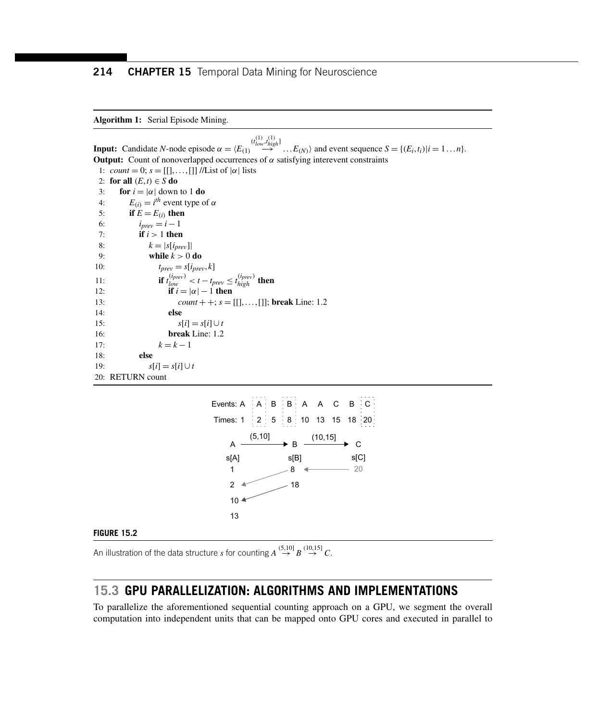**Algorithm 1:** Serial Episode Mining.

**Input:** Candidate *N*-node episode  $\alpha = \langle E_{(1)} \stackrel{(t_{low}^{(1)}, t_{high}^{(1)})}{\rightarrow}$ ... $E_{(N)}$  and event sequence  $S = \{(E_i, t_i) | i = 1...n\}$ . **Output:** Count of nonoverlapped occurrences of  $\alpha$  satisfying interevent constraints 1: *count* = 0;  $s = [[], \ldots, []]$  //List of  $|\alpha|$  lists 2: **for all**  $(E, t) \in S$  **do**<br>3: **for**  $i = |\alpha|$  down 3: **for**  $i = |\alpha|$  down to 1 **do**<br>4:  $E_{(i)} = i^{th}$  event type of 4:  $E_{(i)} = i^{th}$  event type of  $\alpha$ 5: **if**  $E = E_{(i)}$  **then**<br>6: *i***<sub>1000</sub> =** *i* – 1 6:  $i_{prev} = i - 1$ <br>7: **if**  $i > 1$  then if  $i > 1$  then 8:  $k = |s[i_{prev}]]$ <br>9: **while**  $k > 0$ while  $k > 0$  do 10:  $t_{prev} = s[i_{prev}, k]$ 11: **if**  $t_{low}^{(i_{prev})} < t - t_{prev} \leq t_{high}^{(i_{prev})}$  **then** 12: **if**  $i = |\alpha| - 1$  **then**<br>13: *count* **+ +;** *s* **= |** 13:  $count + +$ ;  $s = [[], ..., [[];]$ **break** Line: 1.2<br>14: **else** 14: **else** 15:  $s[i] = s[i] \cup t$ <br>16: **break** Line: 1.2 break Line: 1.2 17:  $k = k - 1$ <br>18: **else** 18: **else** 19:  $s[i] = s[i] \cup t$ 20: RETURN count



#### **FIGURE 15.2**

An illustration of the data structure *s* for counting  $A \overset{(5,10)}{\rightarrow} B \overset{(10,15)}{\rightarrow} C$ .

# **15.3 GPU PARALLELIZATION: ALGORITHMS AND IMPLEMENTATIONS**

To parallelize the aforementioned sequential counting approach on a GPU, we segment the overall computation into independent units that can be mapped onto GPU cores and executed in parallel to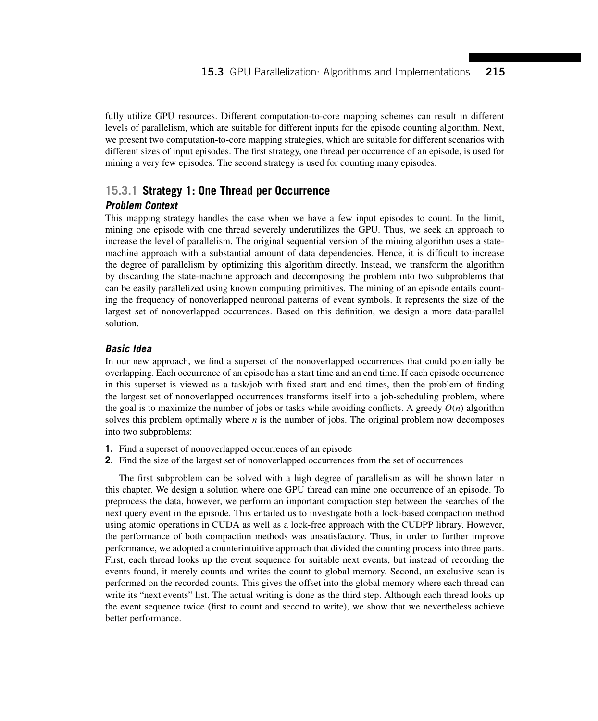fully utilize GPU resources. Different computation-to-core mapping schemes can result in different levels of parallelism, which are suitable for different inputs for the episode counting algorithm. Next, we present two computation-to-core mapping strategies, which are suitable for different scenarios with different sizes of input episodes. The first strategy, one thread per occurrence of an episode, is used for mining a very few episodes. The second strategy is used for counting many episodes.

## **15.3.1 Strategy 1: One Thread per Occurrence**

## *Problem Context*

This mapping strategy handles the case when we have a few input episodes to count. In the limit, mining one episode with one thread severely underutilizes the GPU. Thus, we seek an approach to increase the level of parallelism. The original sequential version of the mining algorithm uses a statemachine approach with a substantial amount of data dependencies. Hence, it is difficult to increase the degree of parallelism by optimizing this algorithm directly. Instead, we transform the algorithm by discarding the state-machine approach and decomposing the problem into two subproblems that can be easily parallelized using known computing primitives. The mining of an episode entails counting the frequency of nonoverlapped neuronal patterns of event symbols. It represents the size of the largest set of nonoverlapped occurrences. Based on this definition, we design a more data-parallel solution.

## *Basic Idea*

In our new approach, we find a superset of the nonoverlapped occurrences that could potentially be overlapping. Each occurrence of an episode has a start time and an end time. If each episode occurrence in this superset is viewed as a task/job with fixed start and end times, then the problem of finding the largest set of nonoverlapped occurrences transforms itself into a job-scheduling problem, where the goal is to maximize the number of jobs or tasks while avoiding conflicts. A greedy  $O(n)$  algorithm solves this problem optimally where  $n$  is the number of jobs. The original problem now decomposes into two subproblems:

- **1.** Find a superset of nonoverlapped occurrences of an episode
- **2.** Find the size of the largest set of nonoverlapped occurrences from the set of occurrences

The first subproblem can be solved with a high degree of parallelism as will be shown later in this chapter. We design a solution where one GPU thread can mine one occurrence of an episode. To preprocess the data, however, we perform an important compaction step between the searches of the next query event in the episode. This entailed us to investigate both a lock-based compaction method using atomic operations in CUDA as well as a lock-free approach with the CUDPP library. However, the performance of both compaction methods was unsatisfactory. Thus, in order to further improve performance, we adopted a counterintuitive approach that divided the counting process into three parts. First, each thread looks up the event sequence for suitable next events, but instead of recording the events found, it merely counts and writes the count to global memory. Second, an exclusive scan is performed on the recorded counts. This gives the offset into the global memory where each thread can write its "next events" list. The actual writing is done as the third step. Although each thread looks up the event sequence twice (first to count and second to write), we show that we nevertheless achieve better performance.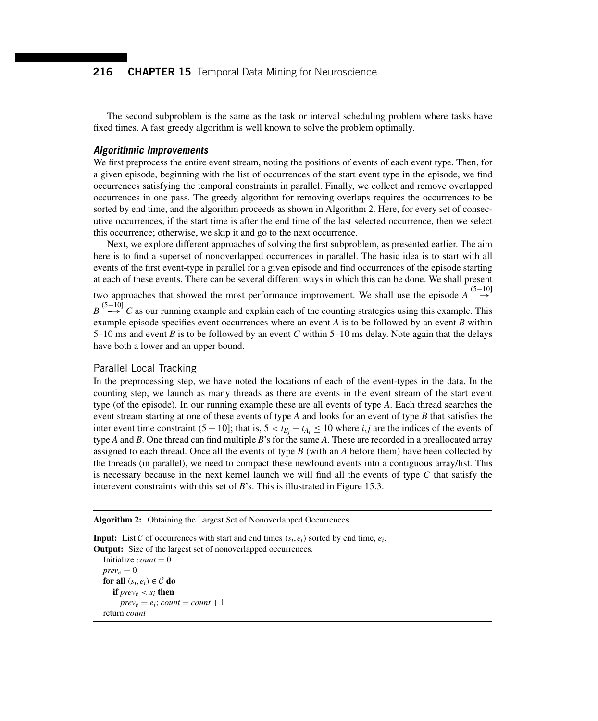The second subproblem is the same as the task or interval scheduling problem where tasks have fixed times. A fast greedy algorithm is well known to solve the problem optimally.

## *Algorithmic Improvements*

We first preprocess the entire event stream, noting the positions of events of each event type. Then, for a given episode, beginning with the list of occurrences of the start event type in the episode, we find occurrences satisfying the temporal constraints in parallel. Finally, we collect and remove overlapped occurrences in one pass. The greedy algorithm for removing overlaps requires the occurrences to be sorted by end time, and the algorithm proceeds as shown in Algorithm 2. Here, for every set of consecutive occurrences, if the start time is after the end time of the last selected occurrence, then we select this occurrence; otherwise, we skip it and go to the next occurrence.

Next, we explore different approaches of solving the first subproblem, as presented earlier. The aim here is to find a superset of nonoverlapped occurrences in parallel. The basic idea is to start with all events of the first event-type in parallel for a given episode and find occurrences of the episode starting at each of these events. There can be several different ways in which this can be done. We shall present two approaches that showed the most performance improvement. We shall use the episode  $A \stackrel{(5-10]}{\rightarrow}$  $B \overset{(5-10)}{\rightarrow} C$  as our running example and explain each of the counting strategies using this example. This example episode specifies event occurrences where an event *A* is to be followed by an event *B* within 5–10 ms and event *B* is to be followed by an event *C* within 5–10 ms delay. Note again that the delays have both a lower and an upper bound.

## Parallel Local Tracking

In the preprocessing step, we have noted the locations of each of the event-types in the data. In the counting step, we launch as many threads as there are events in the event stream of the start event type (of the episode). In our running example these are all events of type *A*. Each thread searches the event stream starting at one of these events of type *A* and looks for an event of type *B* that satisfies the inter event time constraint (5 – 10]; that is,  $5 < t_{B_i} - t_{A_i} \le 10$  where *i*,*j* are the indices of the events of type *A* and *B*. One thread can find multiple *B*'s for the same *A*. These are recorded in a preallocated array assigned to each thread. Once all the events of type *B* (with an *A* before them) have been collected by the threads (in parallel), we need to compact these newfound events into a contiguous array/list. This is necessary because in the next kernel launch we will find all the events of type *C* that satisfy the interevent constraints with this set of *B*'s. This is illustrated in Figure 15.3.

**Algorithm 2:** Obtaining the Largest Set of Nonoverlapped Occurrences.

**Input:** List C of occurrences with start and end times  $(s_i, e_i)$  sorted by end time,  $e_i$ .

**Output:** Size of the largest set of nonoverlapped occurrences. Initialize *count*  $= 0$  $prev_e = 0$ **for all**  $(s_i, e_i) \in C$  **do if**  $prev_e < s_i$  **then**  $prev_e = e_i$ ; *count* = *count* + 1 return *count*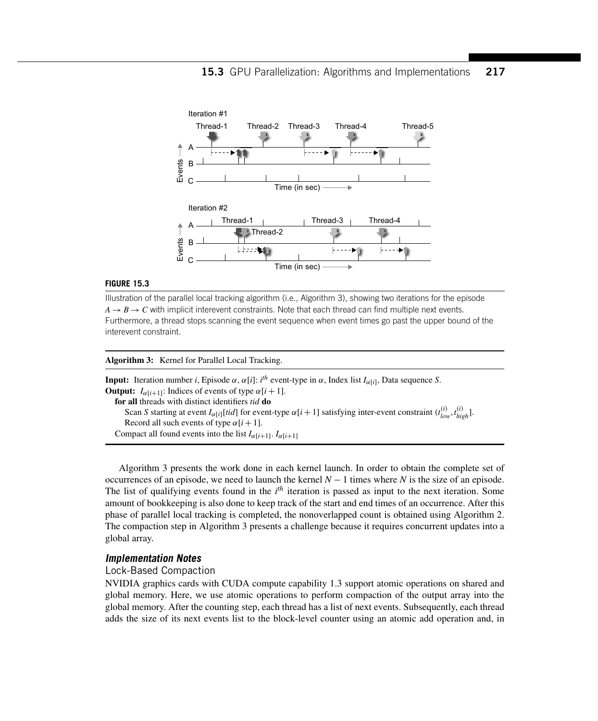

#### **FIGURE 15.3**

Illustration of the parallel local tracking algorithm (i.e., Algorithm 3), showing two iterations for the episode  $A \rightarrow B \rightarrow C$  with implicit interevent constraints. Note that each thread can find multiple next events. Furthermore, a thread stops scanning the event sequence when event times go past the upper bound of the interevent constraint.

#### **Algorithm 3:** Kernel for Parallel Local Tracking.

**Input:** Iteration number *i*, Episode α, α[*i*]: *i th* event-type in α, Index list *I*α[*i*], Data sequence *S*. **Output:**  $I_{\alpha[i+1]}$ : Indices of events of type  $\alpha[i+1]$ . **for all** threads with distinct identifiers *tid* **do** Scan *S* starting at event *I*<sub>α</sub>[*i*][*tid*] for event-type  $\alpha[i+1]$  satisfying inter-event constraint  $(t_{low}^{(i)}, t_{high}^{(i)})$ . Record all such events of type  $\alpha[i+1]$ . Compact all found events into the list  $I_{\alpha[i+1]}$ .  $I_{\alpha[i+1]}$ 

Algorithm 3 presents the work done in each kernel launch. In order to obtain the complete set of occurrences of an episode, we need to launch the kernel  $N - 1$  times where  $N$  is the size of an episode. The list of qualifying events found in the *i*<sup>th</sup> iteration is passed as input to the next iteration. Some amount of bookkeeping is also done to keep track of the start and end times of an occurrence. After this phase of parallel local tracking is completed, the nonoverlapped count is obtained using Algorithm 2. The compaction step in Algorithm 3 presents a challenge because it requires concurrent updates into a global array.

#### *Implementation Notes*

#### Lock-Based Compaction

NVIDIA graphics cards with CUDA compute capability 1.3 support atomic operations on shared and global memory. Here, we use atomic operations to perform compaction of the output array into the global memory. After the counting step, each thread has a list of next events. Subsequently, each thread adds the size of its next events list to the block-level counter using an atomic add operation and, in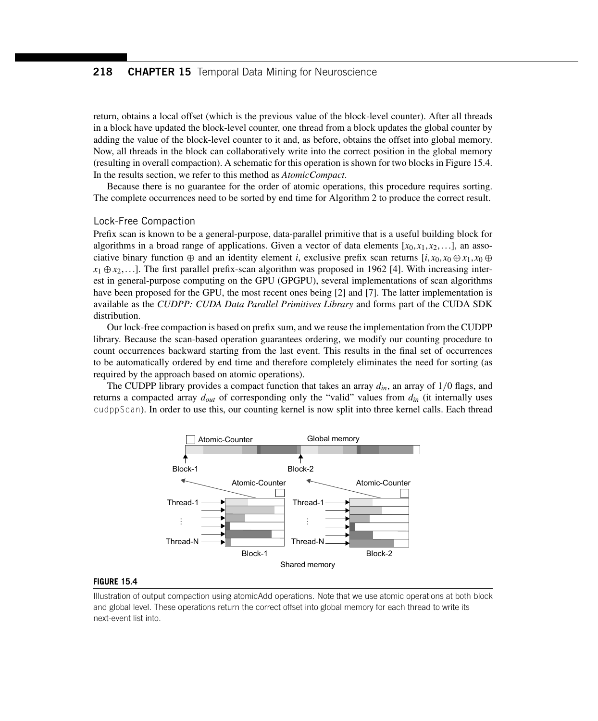return, obtains a local offset (which is the previous value of the block-level counter). After all threads in a block have updated the block-level counter, one thread from a block updates the global counter by adding the value of the block-level counter to it and, as before, obtains the offset into global memory. Now, all threads in the block can collaboratively write into the correct position in the global memory (resulting in overall compaction). A schematic for this operation is shown for two blocks in Figure 15.4. In the results section, we refer to this method as *AtomicCompact*.

Because there is no guarantee for the order of atomic operations, this procedure requires sorting. The complete occurrences need to be sorted by end time for Algorithm 2 to produce the correct result.

## Lock-Free Compaction

Prefix scan is known to be a general-purpose, data-parallel primitive that is a useful building block for algorithms in a broad range of applications. Given a vector of data elements  $[x_0, x_1, x_2,...]$ , an associative binary function  $\oplus$  and an identity element *i*, exclusive prefix scan returns  $[i, x_0, x_0 \oplus x_1, x_0 \oplus x_2]$  $x_1 \oplus x_2,...$ ]. The first parallel prefix-scan algorithm was proposed in 1962 [4]. With increasing interest in general-purpose computing on the GPU (GPGPU), several implementations of scan algorithms have been proposed for the GPU, the most recent ones being [2] and [7]. The latter implementation is available as the *CUDPP: CUDA Data Parallel Primitives Library* and forms part of the CUDA SDK distribution.

Our lock-free compaction is based on prefix sum, and we reuse the implementation from the CUDPP library. Because the scan-based operation guarantees ordering, we modify our counting procedure to count occurrences backward starting from the last event. This results in the final set of occurrences to be automatically ordered by end time and therefore completely eliminates the need for sorting (as required by the approach based on atomic operations).

The CUDPP library provides a compact function that takes an array *din*, an array of 1/0 flags, and returns a compacted array *dout* of corresponding only the "valid" values from *din* (it internally uses cudppScan). In order to use this, our counting kernel is now split into three kernel calls. Each thread



#### **FIGURE 15.4**

Illustration of output compaction using atomicAdd operations. Note that we use atomic operations at both block and global level. These operations return the correct offset into global memory for each thread to write its next-event list into.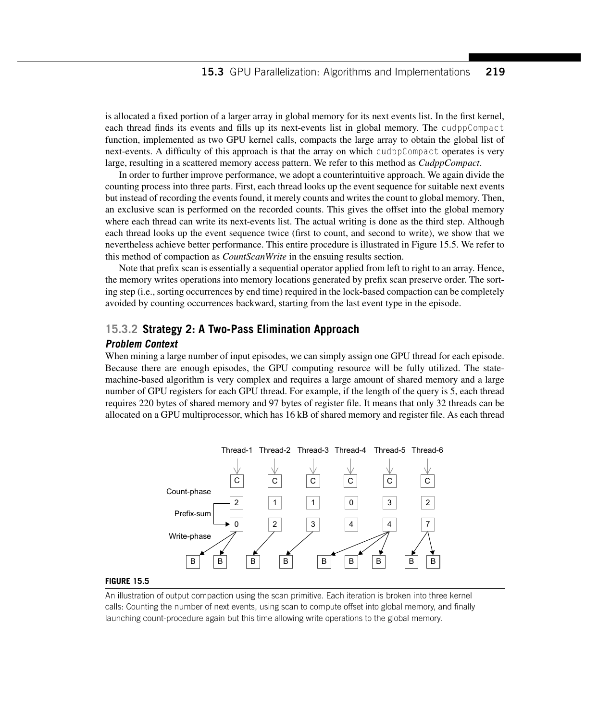is allocated a fixed portion of a larger array in global memory for its next events list. In the first kernel, each thread finds its events and fills up its next-events list in global memory. The cudppCompact function, implemented as two GPU kernel calls, compacts the large array to obtain the global list of next-events. A difficulty of this approach is that the array on which cudppCompact operates is very large, resulting in a scattered memory access pattern. We refer to this method as *CudppCompact*.

In order to further improve performance, we adopt a counterintuitive approach. We again divide the counting process into three parts. First, each thread looks up the event sequence for suitable next events but instead of recording the events found, it merely counts and writes the count to global memory. Then, an exclusive scan is performed on the recorded counts. This gives the offset into the global memory where each thread can write its next-events list. The actual writing is done as the third step. Although each thread looks up the event sequence twice (first to count, and second to write), we show that we nevertheless achieve better performance. This entire procedure is illustrated in Figure 15.5. We refer to this method of compaction as *CountScanWrite* in the ensuing results section.

Note that prefix scan is essentially a sequential operator applied from left to right to an array. Hence, the memory writes operations into memory locations generated by prefix scan preserve order. The sorting step (i.e., sorting occurrences by end time) required in the lock-based compaction can be completely avoided by counting occurrences backward, starting from the last event type in the episode.

## **15.3.2 Strategy 2: A Two-Pass Elimination Approach**

## *Problem Context*

When mining a large number of input episodes, we can simply assign one GPU thread for each episode. Because there are enough episodes, the GPU computing resource will be fully utilized. The statemachine-based algorithm is very complex and requires a large amount of shared memory and a large number of GPU registers for each GPU thread. For example, if the length of the query is 5, each thread requires 220 bytes of shared memory and 97 bytes of register file. It means that only 32 threads can be allocated on a GPU multiprocessor, which has 16 kB of shared memory and register file. As each thread



#### **FIGURE 15.5**

An illustration of output compaction using the scan primitive. Each iteration is broken into three kernel calls: Counting the number of next events, using scan to compute offset into global memory, and finally launching count-procedure again but this time allowing write operations to the global memory.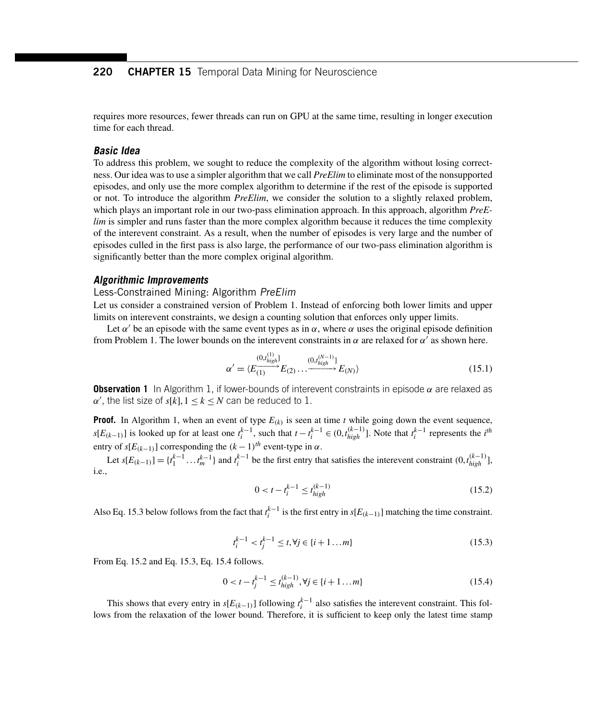requires more resources, fewer threads can run on GPU at the same time, resulting in longer execution time for each thread.

## *Basic Idea*

To address this problem, we sought to reduce the complexity of the algorithm without losing correctness. Our idea was to use a simpler algorithm that we call *PreElim* to eliminate most of the nonsupported episodes, and only use the more complex algorithm to determine if the rest of the episode is supported or not. To introduce the algorithm *PreElim*, we consider the solution to a slightly relaxed problem, which plays an important role in our two-pass elimination approach. In this approach, algorithm *PreElim* is simpler and runs faster than the more complex algorithm because it reduces the time complexity of the interevent constraint. As a result, when the number of episodes is very large and the number of episodes culled in the first pass is also large, the performance of our two-pass elimination algorithm is significantly better than the more complex original algorithm.

### *Algorithmic Improvements*

## Less-Constrained Mining: Algorithm *PreElim*

Let us consider a constrained version of Problem 1. Instead of enforcing both lower limits and upper limits on interevent constraints, we design a counting solution that enforces only upper limits.

Let  $\alpha'$  be an episode with the same event types as in  $\alpha$ , where  $\alpha$  uses the original episode definition from Problem 1. The lower bounds on the interevent constraints in  $\alpha$  are relaxed for  $\alpha'$  as shown here.

$$
\alpha' = \langle E_{(1)}^{(0, t_{high}^{(1)})} E_{(2)} \dots \xrightarrow{(0, t_{high}^{(N-1)})} E_{(N)} \rangle
$$
\n(15.1)

**Observation 1** In Algorithm 1, if lower-bounds of interevent constraints in episode  $\alpha$  are relaxed as  $\alpha'$ , the list size of  $s[k], 1 \leq k \leq N$  can be reduced to 1.

**Proof.** In Algorithm 1, when an event of type  $E_{(k)}$  is seen at time *t* while going down the event sequence,  $s[E_{(k-1)}]$  is looked up for at least one  $t_i^{k-1}$ , such that  $t - t_i^{k-1} \in (0, t_{high}^{(k-1)}]$ . Note that  $t_i^{k-1}$  represents the  $i^{th}$ entry of *s*[ $E_{(k-1)}$ ] corresponding the  $(k-1)$ <sup>th</sup> event-type in  $\alpha$ .

Let  $s[E_{(k-1)}] = \{t_1^{k-1} \dots t_m^{k-1}\}\$  and  $t_i^{k-1}$  be the first entry that satisfies the interevent constraint  $(0, t_{high}^{(k-1)}]$ , i.e.,

$$
0 < t - t_i^{k-1} \le t_{high}^{(k-1)} \tag{15.2}
$$

Also Eq. 15.3 below follows from the fact that  $t_i^{k-1}$  is the first entry in  $s[E_{(k-1)}]$  matching the time constraint.

$$
t_i^{k-1} < t_j^{k-1} \le t, \forall j \in \{i+1 \dots m\} \tag{15.3}
$$

From Eq. 15.2 and Eq. 15.3, Eq. 15.4 follows.

$$
0 < t - t_j^{k-1} \le t_{high}^{(k-1)}, \forall j \in \{i+1...m\}
$$
 (15.4)

This shows that every entry in  $s[E_{(k-1)}]$  following  $t_i^{k-1}$  also satisfies the interevent constraint. This follows from the relaxation of the lower bound. Therefore, it is sufficient to keep only the latest time stamp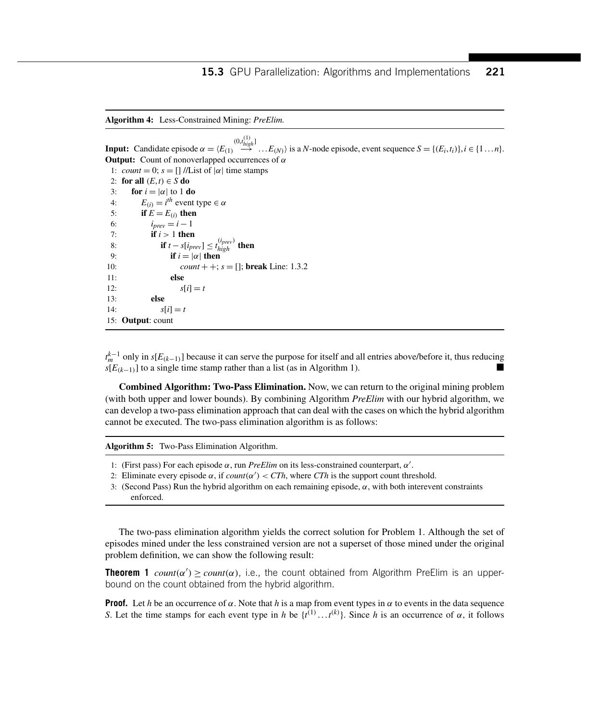**Algorithm 4:** Less-Constrained Mining: *PreElim.*

**Input:** Candidate episode  $\alpha = \langle E_{(1)} \stackrel{(0,t_{high}^{(1)})}{\longrightarrow} \dots E_{(N)} \rangle$  is a *N*-node episode, event sequence  $S = \{(E_i, t_i)\}, i \in \{1 \dots n\}.$ **Output:** Count of nonoverlapped occurrences of  $\alpha$ 1: *count* = 0;  $s = \frac{\pi}{4}$  //List of  $|\alpha|$  time stamps 2: **for all**  $(E, t) \in S$  **do**<br>3: **for**  $i = |\alpha|$  to 1 **d** 3: **for**  $i = |\alpha|$  to 1 **do**<br>4:  $E_{(i)} = i^{th}$  event 4:  $E_{(i)} = i^{th}$  event type  $\in \alpha$ 5: **if**  $E = E_{(i)}$  **then**<br>6: *i***<sub>nney</sub>**  $= i - 1$ 6:  $i_{prev} = i - 1$ <br>7: **if**  $i > 1$  then if  $i > 1$  then 8: **if**  $t - s[i_{prev}] \le t_{high}^{(i_{prev})}$  **then** 9: **if**  $i = |\alpha|$  **then**<br>10: **count** + +; 10:  $count + +$ ;  $s = []$ ; **break** Line: 1.3.2 11: **else** 12:  $s[i] = t$ <br>13: **else** 13: **else** 14:  $s[i] = t$ 15: **Output**: count

 $t_m^{k-1}$  only in *s*[*E*<sub>(*k*−1)</sub>] because it can serve the purpose for itself and all entries above/before it, thus reducing  $s[E_{(k-1)}]$  to a single time stamp rather than a list (as in Algorithm 1).

**Combined Algorithm: Two-Pass Elimination.** Now, we can return to the original mining problem (with both upper and lower bounds). By combining Algorithm *PreElim* with our hybrid algorithm, we can develop a two-pass elimination approach that can deal with the cases on which the hybrid algorithm cannot be executed. The two-pass elimination algorithm is as follows:

**Algorithm 5:** Two-Pass Elimination Algorithm.

- 1: (First pass) For each episode  $\alpha$ , run *PreElim* on its less-constrained counterpart,  $\alpha'$ .
- 2: Eliminate every episode  $\alpha$ , if  $count(\alpha') < CTh$ , where *CTh* is the support count threshold.
- 3: (Second Pass) Run the hybrid algorithm on each remaining episode,  $\alpha$ , with both interevent constraints enforced.

The two-pass elimination algorithm yields the correct solution for Problem 1. Although the set of episodes mined under the less constrained version are not a superset of those mined under the original problem definition, we can show the following result:

**Theorem 1**  $count(\alpha') \geq count(\alpha)$ , i.e., the count obtained from Algorithm PreElim is an upperbound on the count obtained from the hybrid algorithm.

**Proof.** Let *h* be an occurrence of  $\alpha$ . Note that *h* is a map from event types in  $\alpha$  to events in the data sequence *S*. Let the time stamps for each event type in *h* be  $\{t^{(1)} \dots t^{(k)}\}$ . Since *h* is an occurrence of  $\alpha$ , it follows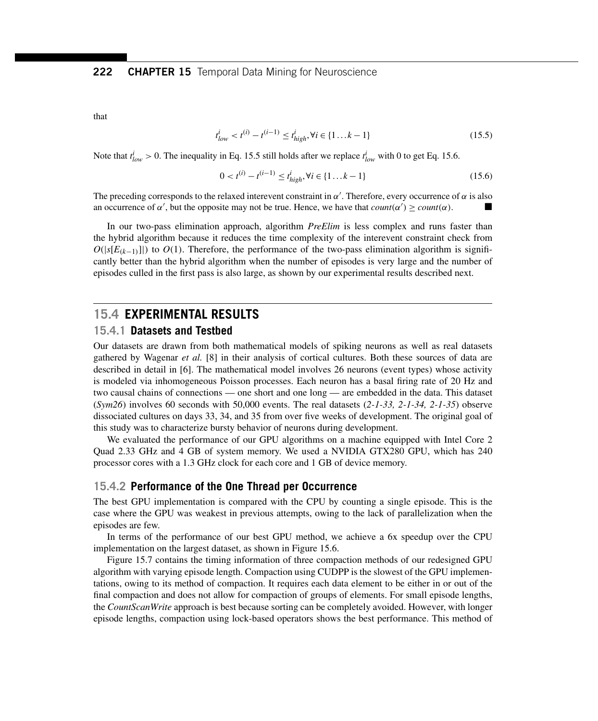that

$$
t_{low}^i < t^{(i)} - t^{(i-1)} \le t_{high}^i, \forall i \in \{1...k-1\}
$$
\n(15.5)

Note that  $t_{low}^i > 0$ . The inequality in Eq. 15.5 still holds after we replace  $t_{low}^i$  with 0 to get Eq. 15.6.

$$
0 < t^{(i)} - t^{(i-1)} \le t_{high}^i, \forall i \in \{1...k-1\}
$$
\n(15.6)

The preceding corresponds to the relaxed interevent constraint in  $\alpha'$ . Therefore, every occurrence of  $\alpha$  is also an occurrence of  $\alpha'$ , but the opposite may not be true. Hence, we have that  $count(\alpha') \geq count(\alpha)$ .

In our two-pass elimination approach, algorithm *PreElim* is less complex and runs faster than the hybrid algorithm because it reduces the time complexity of the interevent constraint check from  $O(|s[E(k-1)]|)$  to  $O(1)$ . Therefore, the performance of the two-pass elimination algorithm is significantly better than the hybrid algorithm when the number of episodes is very large and the number of episodes culled in the first pass is also large, as shown by our experimental results described next.

# **15.4 EXPERIMENTAL RESULTS**

## **15.4.1 Datasets and Testbed**

Our datasets are drawn from both mathematical models of spiking neurons as well as real datasets gathered by Wagenar *et al.* [8] in their analysis of cortical cultures. Both these sources of data are described in detail in [6]. The mathematical model involves 26 neurons (event types) whose activity is modeled via inhomogeneous Poisson processes. Each neuron has a basal firing rate of 20 Hz and two causal chains of connections — one short and one long — are embedded in the data. This dataset (*Sym26*) involves 60 seconds with 50,000 events. The real datasets (*2-1-33, 2-1-34, 2-1-35*) observe dissociated cultures on days 33, 34, and 35 from over five weeks of development. The original goal of this study was to characterize bursty behavior of neurons during development.

We evaluated the performance of our GPU algorithms on a machine equipped with Intel Core 2 Quad 2.33 GHz and 4 GB of system memory. We used a NVIDIA GTX280 GPU, which has 240 processor cores with a 1.3 GHz clock for each core and 1 GB of device memory.

## **15.4.2 Performance of the One Thread per Occurrence**

The best GPU implementation is compared with the CPU by counting a single episode. This is the case where the GPU was weakest in previous attempts, owing to the lack of parallelization when the episodes are few.

In terms of the performance of our best GPU method, we achieve a 6x speedup over the CPU implementation on the largest dataset, as shown in Figure 15.6.

Figure 15.7 contains the timing information of three compaction methods of our redesigned GPU algorithm with varying episode length. Compaction using CUDPP is the slowest of the GPU implementations, owing to its method of compaction. It requires each data element to be either in or out of the final compaction and does not allow for compaction of groups of elements. For small episode lengths, the *CountScanWrite* approach is best because sorting can be completely avoided. However, with longer episode lengths, compaction using lock-based operators shows the best performance. This method of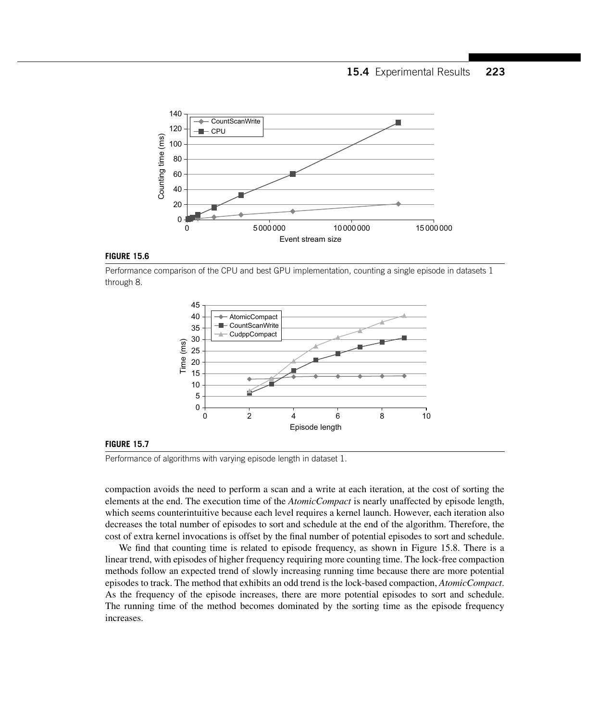

## **FIGURE 15.6**

Performance comparison of the CPU and best GPU implementation, counting a single episode in datasets 1 through 8.



## **FIGURE 15.7**

Performance of algorithms with varying episode length in dataset 1.

compaction avoids the need to perform a scan and a write at each iteration, at the cost of sorting the elements at the end. The execution time of the *AtomicCompact* is nearly unaffected by episode length, which seems counterintuitive because each level requires a kernel launch. However, each iteration also decreases the total number of episodes to sort and schedule at the end of the algorithm. Therefore, the cost of extra kernel invocations is offset by the final number of potential episodes to sort and schedule.

We find that counting time is related to episode frequency, as shown in Figure 15.8. There is a linear trend, with episodes of higher frequency requiring more counting time. The lock-free compaction methods follow an expected trend of slowly increasing running time because there are more potential episodes to track. The method that exhibits an odd trend is the lock-based compaction, *AtomicCompact*. As the frequency of the episode increases, there are more potential episodes to sort and schedule. The running time of the method becomes dominated by the sorting time as the episode frequency increases.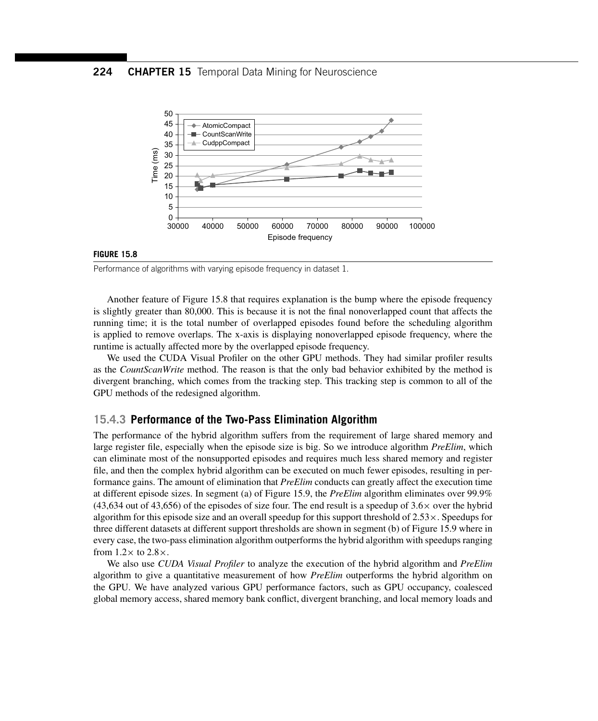

## **FIGURE 15.8**

Performance of algorithms with varying episode frequency in dataset 1.

Another feature of Figure 15.8 that requires explanation is the bump where the episode frequency is slightly greater than 80,000. This is because it is not the final nonoverlapped count that affects the running time; it is the total number of overlapped episodes found before the scheduling algorithm is applied to remove overlaps. The x-axis is displaying nonoverlapped episode frequency, where the runtime is actually affected more by the overlapped episode frequency.

We used the CUDA Visual Profiler on the other GPU methods. They had similar profiler results as the *CountScanWrite* method. The reason is that the only bad behavior exhibited by the method is divergent branching, which comes from the tracking step. This tracking step is common to all of the GPU methods of the redesigned algorithm.

## **15.4.3 Performance of the Two-Pass Elimination Algorithm**

The performance of the hybrid algorithm suffers from the requirement of large shared memory and large register file, especially when the episode size is big. So we introduce algorithm *PreElim*, which can eliminate most of the nonsupported episodes and requires much less shared memory and register file, and then the complex hybrid algorithm can be executed on much fewer episodes, resulting in performance gains. The amount of elimination that *PreElim* conducts can greatly affect the execution time at different episode sizes. In segment (a) of Figure 15.9, the *PreElim* algorithm eliminates over 99.9%  $(43,634)$  out of  $(43,656)$  of the episodes of size four. The end result is a speedup of  $3.6\times$  over the hybrid algorithm for this episode size and an overall speedup for this support threshold of  $2.53 \times$ . Speedups for three different datasets at different support thresholds are shown in segment (b) of Figure 15.9 where in every case, the two-pass elimination algorithm outperforms the hybrid algorithm with speedups ranging from  $1.2 \times$  to  $2.8 \times$ .

We also use *CUDA Visual Profiler* to analyze the execution of the hybrid algorithm and *PreElim* algorithm to give a quantitative measurement of how *PreElim* outperforms the hybrid algorithm on the GPU. We have analyzed various GPU performance factors, such as GPU occupancy, coalesced global memory access, shared memory bank conflict, divergent branching, and local memory loads and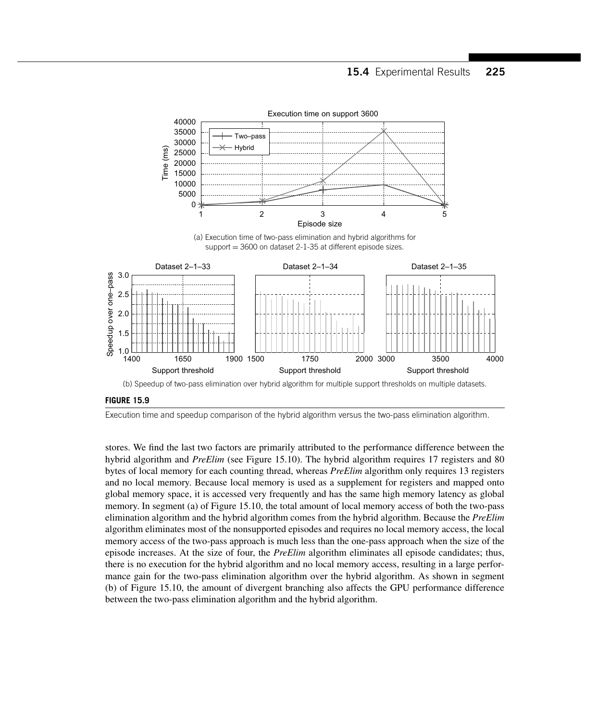**15.4** Experimental Results **225**



#### **FIGURE 15.9**

Execution time and speedup comparison of the hybrid algorithm versus the two-pass elimination algorithm.

stores. We find the last two factors are primarily attributed to the performance difference between the hybrid algorithm and *PreElim* (see Figure 15.10). The hybrid algorithm requires 17 registers and 80 bytes of local memory for each counting thread, whereas *PreElim* algorithm only requires 13 registers and no local memory. Because local memory is used as a supplement for registers and mapped onto global memory space, it is accessed very frequently and has the same high memory latency as global memory. In segment (a) of Figure 15.10, the total amount of local memory access of both the two-pass elimination algorithm and the hybrid algorithm comes from the hybrid algorithm. Because the *PreElim* algorithm eliminates most of the nonsupported episodes and requires no local memory access, the local memory access of the two-pass approach is much less than the one-pass approach when the size of the episode increases. At the size of four, the *PreElim* algorithm eliminates all episode candidates; thus, there is no execution for the hybrid algorithm and no local memory access, resulting in a large performance gain for the two-pass elimination algorithm over the hybrid algorithm. As shown in segment (b) of Figure 15.10, the amount of divergent branching also affects the GPU performance difference between the two-pass elimination algorithm and the hybrid algorithm.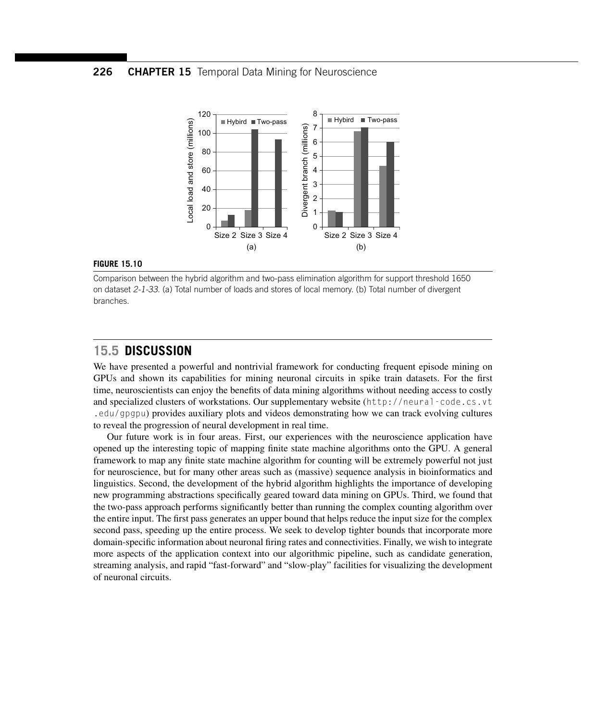

## **FIGURE 15.10**

Comparison between the hybrid algorithm and two-pass elimination algorithm for support threshold 1650 on dataset *2-1-33*. (a) Total number of loads and stores of local memory. (b) Total number of divergent branches.

# **15.5 DISCUSSION**

We have presented a powerful and nontrivial framework for conducting frequent episode mining on GPUs and shown its capabilities for mining neuronal circuits in spike train datasets. For the first time, neuroscientists can enjoy the benefits of data mining algorithms without needing access to costly and specialized clusters of workstations. Our supplementary website (http://neural-code.cs.vt .edu/gpgpu) provides auxiliary plots and videos demonstrating how we can track evolving cultures to reveal the progression of neural development in real time.

Our future work is in four areas. First, our experiences with the neuroscience application have opened up the interesting topic of mapping finite state machine algorithms onto the GPU. A general framework to map any finite state machine algorithm for counting will be extremely powerful not just for neuroscience, but for many other areas such as (massive) sequence analysis in bioinformatics and linguistics. Second, the development of the hybrid algorithm highlights the importance of developing new programming abstractions specifically geared toward data mining on GPUs. Third, we found that the two-pass approach performs significantly better than running the complex counting algorithm over the entire input. The first pass generates an upper bound that helps reduce the input size for the complex second pass, speeding up the entire process. We seek to develop tighter bounds that incorporate more domain-specific information about neuronal firing rates and connectivities. Finally, we wish to integrate more aspects of the application context into our algorithmic pipeline, such as candidate generation, streaming analysis, and rapid "fast-forward" and "slow-play" facilities for visualizing the development of neuronal circuits.